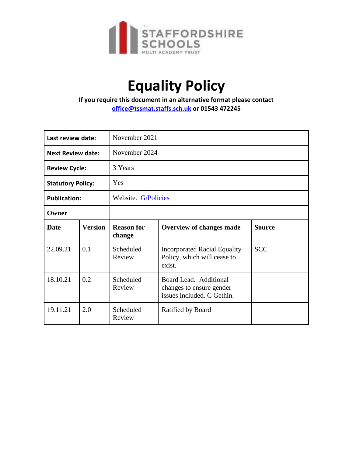

# **Equality Policy**

**If you require this document in an alternative format please contact** 

**[office@tssmat.staffs.sch.uk](mailto:office@tssmat.staffs.sch.uk) or 01543 472245**

| Last review date:        |                | November 2021               |                                                                                  |               |
|--------------------------|----------------|-----------------------------|----------------------------------------------------------------------------------|---------------|
| <b>Next Review date:</b> |                | November 2024               |                                                                                  |               |
| <b>Review Cycle:</b>     |                | 3 Years                     |                                                                                  |               |
| <b>Statutory Policy:</b> |                | Yes                         |                                                                                  |               |
| <b>Publication:</b>      |                | Website. G/Policies         |                                                                                  |               |
| Owner                    |                |                             |                                                                                  |               |
| <b>Date</b>              | <b>Version</b> | <b>Reason for</b><br>change | <b>Overview of changes made</b>                                                  | <b>Source</b> |
| 22.09.21                 | 0.1            | Scheduled<br>Review         | <b>Incorporated Racial Equality</b><br>Policy, which will cease to<br>exist.     | <b>SCC</b>    |
| 18.10.21                 | 0.2            | Scheduled<br>Review         | Board Lead. Additional<br>changes to ensure gender<br>issues included. C Gethin. |               |
| 19.11.21                 | 2.0            | Scheduled<br>Review         | Ratified by Board                                                                |               |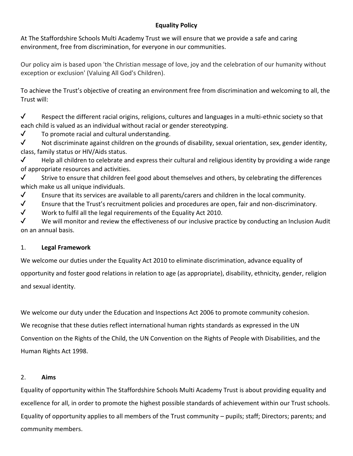## **Equality Policy**

At The Staffordshire Schools Multi Academy Trust we will ensure that we provide a safe and caring environment, free from discrimination, for everyone in our communities.

Our policy aim is based upon 'the Christian message of love, joy and the celebration of our humanity without exception or exclusion' (Valuing All God's Children).

To achieve the Trust's objective of creating an environment free from discrimination and welcoming to all, the Trust will:

 $\checkmark$  Respect the different racial origins, religions, cultures and languages in a multi-ethnic society so that each child is valued as an individual without racial or gender stereotyping.

 $\sqrt{ }$  To promote racial and cultural understanding.

✔ Not discriminate against children on the grounds of disability, sexual orientation, sex, gender identity, class, family status or HIV/Aids status.

 $\checkmark$  Help all children to celebrate and express their cultural and religious identity by providing a wide range of appropriate resources and activities.

 $\checkmark$  Strive to ensure that children feel good about themselves and others, by celebrating the differences which make us all unique individuals.

 $\checkmark$  Ensure that its services are available to all parents/carers and children in the local community.

✔ Ensure that the Trust's recruitment policies and procedures are open, fair and non-discriminatory.

 $\checkmark$  Work to fulfil all the legal requirements of the Equality Act 2010.

 $\checkmark$  We will monitor and review the effectiveness of our inclusive practice by conducting an Inclusion Audit on an annual basis.

# 1. **Legal Framework**

We welcome our duties under the Equality Act 2010 to eliminate discrimination, advance equality of opportunity and foster good relations in relation to age (as appropriate), disability, ethnicity, gender, religion and sexual identity.

We welcome our duty under the Education and Inspections Act 2006 to promote community cohesion. We recognise that these duties reflect international human rights standards as expressed in the UN Convention on the Rights of the Child, the UN Convention on the Rights of People with Disabilities, and the Human Rights Act 1998.

# 2. **Aims**

Equality of opportunity within The Staffordshire Schools Multi Academy Trust is about providing equality and excellence for all, in order to promote the highest possible standards of achievement within our Trust schools. Equality of opportunity applies to all members of the Trust community – pupils; staff; Directors; parents; and community members.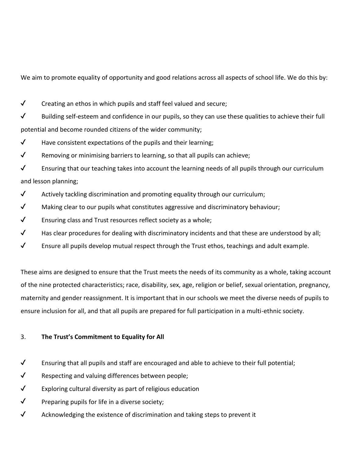We aim to promote equality of opportunity and good relations across all aspects of school life. We do this by:

 $\checkmark$  Creating an ethos in which pupils and staff feel valued and secure;

✔ Building self-esteem and confidence in our pupils, so they can use these qualities to achieve their full potential and become rounded citizens of the wider community;

 $\checkmark$  Have consistent expectations of the pupils and their learning;

 $\checkmark$  Removing or minimising barriers to learning, so that all pupils can achieve;

 $\checkmark$  Ensuring that our teaching takes into account the learning needs of all pupils through our curriculum and lesson planning;

 $\checkmark$  Actively tackling discrimination and promoting equality through our curriculum;

 $\checkmark$  Making clear to our pupils what constitutes aggressive and discriminatory behaviour;

 $\checkmark$  Ensuring class and Trust resources reflect society as a whole;

 $\checkmark$  Has clear procedures for dealing with discriminatory incidents and that these are understood by all;

 $\checkmark$  Ensure all pupils develop mutual respect through the Trust ethos, teachings and adult example.

These aims are designed to ensure that the Trust meets the needs of its community as a whole, taking account of the nine protected characteristics; race, disability, sex, age, religion or belief, sexual orientation, pregnancy, maternity and gender reassignment. It is important that in our schools we meet the diverse needs of pupils to ensure inclusion for all, and that all pupils are prepared for full participation in a multi-ethnic society.

## 3. **The Trust's Commitment to Equality for All**

- $\checkmark$  Ensuring that all pupils and staff are encouraged and able to achieve to their full potential;
- ✔ Respecting and valuing differences between people;
- $\checkmark$  Exploring cultural diversity as part of religious education
- $\checkmark$  Preparing pupils for life in a diverse society;
- $\checkmark$  Acknowledging the existence of discrimination and taking steps to prevent it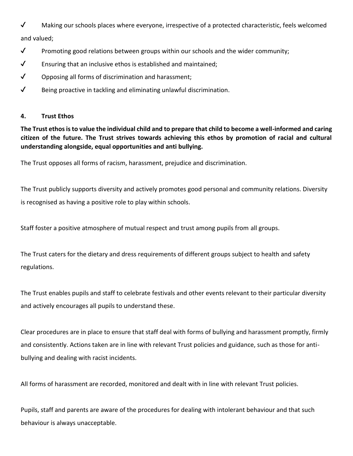✔ Making our schools places where everyone, irrespective of a protected characteristic, feels welcomed and valued;

- $\checkmark$  Promoting good relations between groups within our schools and the wider community;
- $\checkmark$  Ensuring that an inclusive ethos is established and maintained;
- $\sqrt{\phantom{a}}$  Opposing all forms of discrimination and harassment;
- $\checkmark$  Being proactive in tackling and eliminating unlawful discrimination.

## **4. Trust Ethos**

**The Trust ethos is to value the individual child and to prepare that child to become a well-informed and caring citizen of the future. The Trust strives towards achieving this ethos by promotion of racial and cultural understanding alongside, equal opportunities and anti bullying.**

The Trust opposes all forms of racism, harassment, prejudice and discrimination.

The Trust publicly supports diversity and actively promotes good personal and community relations. Diversity is recognised as having a positive role to play within schools.

Staff foster a positive atmosphere of mutual respect and trust among pupils from all groups.

The Trust caters for the dietary and dress requirements of different groups subject to health and safety regulations.

The Trust enables pupils and staff to celebrate festivals and other events relevant to their particular diversity and actively encourages all pupils to understand these.

Clear procedures are in place to ensure that staff deal with forms of bullying and harassment promptly, firmly and consistently. Actions taken are in line with relevant Trust policies and guidance, such as those for antibullying and dealing with racist incidents.

All forms of harassment are recorded, monitored and dealt with in line with relevant Trust policies.

Pupils, staff and parents are aware of the procedures for dealing with intolerant behaviour and that such behaviour is always unacceptable.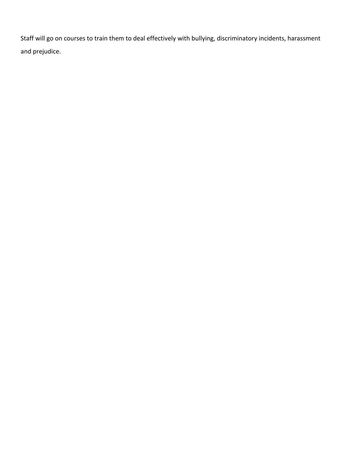Staff will go on courses to train them to deal effectively with bullying, discriminatory incidents, harassment and prejudice.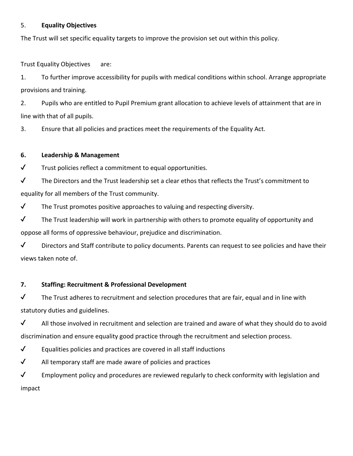#### 5. **Equality Objectives**

The Trust will set specific equality targets to improve the provision set out within this policy.

Trust Equality Objectives are:

1. To further improve accessibility for pupils with medical conditions within school. Arrange appropriate provisions and training.

2. Pupils who are entitled to Pupil Premium grant allocation to achieve levels of attainment that are in line with that of all pupils.

3. Ensure that all policies and practices meet the requirements of the Equality Act.

## **6. Leadership & Management**

 $\checkmark$  Trust policies reflect a commitment to equal opportunities.

✔ The Directors and the Trust leadership set a clear ethos that reflects the Trust's commitment to equality for all members of the Trust community.

 $\checkmark$  The Trust promotes positive approaches to valuing and respecting diversity.

 $\checkmark$  The Trust leadership will work in partnership with others to promote equality of opportunity and oppose all forms of oppressive behaviour, prejudice and discrimination.

 $\checkmark$  Directors and Staff contribute to policy documents. Parents can request to see policies and have their views taken note of.

## **7. Staffing: Recruitment & Professional Development**

 $\checkmark$  The Trust adheres to recruitment and selection procedures that are fair, equal and in line with statutory duties and guidelines.

 $\checkmark$  All those involved in recruitment and selection are trained and aware of what they should do to avoid discrimination and ensure equality good practice through the recruitment and selection process.

 $\sqrt{\phantom{a}}$  Equalities policies and practices are covered in all staff inductions

 $\sqrt{\phantom{a}}$  All temporary staff are made aware of policies and practices

 $\checkmark$  Employment policy and procedures are reviewed regularly to check conformity with legislation and impact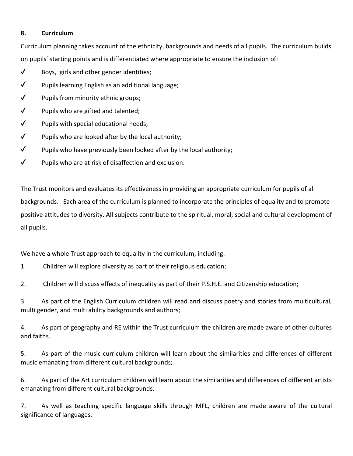## **8. Curriculum**

Curriculum planning takes account of the ethnicity, backgrounds and needs of all pupils. The curriculum builds on pupils' starting points and is differentiated where appropriate to ensure the inclusion of:

- ✔ Boys, girls and other gender identities;
- ✔ Pupils learning English as an additional language;
- $\checkmark$  Pupils from minority ethnic groups;
- $\sqrt{ }$  Pupils who are gifted and talented;
- $\sqrt{\phantom{a}}$  Pupils with special educational needs;
- $\checkmark$  Pupils who are looked after by the local authority;
- $\sqrt{\phantom{a}}$  Pupils who have previously been looked after by the local authority;
- $\checkmark$  Pupils who are at risk of disaffection and exclusion.

The Trust monitors and evaluates its effectiveness in providing an appropriate curriculum for pupils of all backgrounds. Each area of the curriculum is planned to incorporate the principles of equality and to promote positive attitudes to diversity. All subjects contribute to the spiritual, moral, social and cultural development of all pupils.

We have a whole Trust approach to equality in the curriculum, including:

1. Children will explore diversity as part of their religious education;

2. Children will discuss effects of inequality as part of their P.S.H.E. and Citizenship education;

3. As part of the English Curriculum children will read and discuss poetry and stories from multicultural, multi gender, and multi ability backgrounds and authors;

4. As part of geography and RE within the Trust curriculum the children are made aware of other cultures and faiths.

5. As part of the music curriculum children will learn about the similarities and differences of different music emanating from different cultural backgrounds;

6. As part of the Art curriculum children will learn about the similarities and differences of different artists emanating from different cultural backgrounds.

7. As well as teaching specific language skills through MFL, children are made aware of the cultural significance of languages.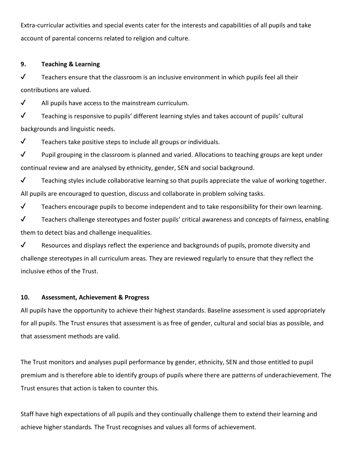Extra-curricular activities and special events cater for the interests and capabilities of all pupils and take account of parental concerns related to religion and culture.

#### **9. Teaching & Learning**

 $\checkmark$  Teachers ensure that the classroom is an inclusive environment in which pupils feel all their contributions are valued.

 $\checkmark$  All pupils have access to the mainstream curriculum.

✔ Teaching is responsive to pupils' different learning styles and takes account of pupils' cultural backgrounds and linguistic needs.

 $\checkmark$  Teachers take positive steps to include all groups or individuals.

 $\checkmark$  Pupil grouping in the classroom is planned and varied. Allocations to teaching groups are kept under continual review and are analysed by ethnicity, gender, SEN and social background.

 $\checkmark$  Teaching styles include collaborative learning so that pupils appreciate the value of working together. All pupils are encouraged to question, discuss and collaborate in problem solving tasks.

✔ Teachers encourage pupils to become independent and to take responsibility for their own learning.

✔ Teachers challenge stereotypes and foster pupils' critical awareness and concepts of fairness, enabling them to detect bias and challenge inequalities.

✔ Resources and displays reflect the experience and backgrounds of pupils, promote diversity and challenge stereotypes in all curriculum areas. They are reviewed regularly to ensure that they reflect the inclusive ethos of the Trust.

#### **10. Assessment, Achievement & Progress**

All pupils have the opportunity to achieve their highest standards. Baseline assessment is used appropriately for all pupils. The Trust ensures that assessment is as free of gender, cultural and social bias as possible, and that assessment methods are valid.

The Trust monitors and analyses pupil performance by gender, ethnicity, SEN and those entitled to pupil premium and is therefore able to identify groups of pupils where there are patterns of underachievement. The Trust ensures that action is taken to counter this.

Staff have high expectations of all pupils and they continually challenge them to extend their learning and achieve higher standards. The Trust recognises and values all forms of achievement.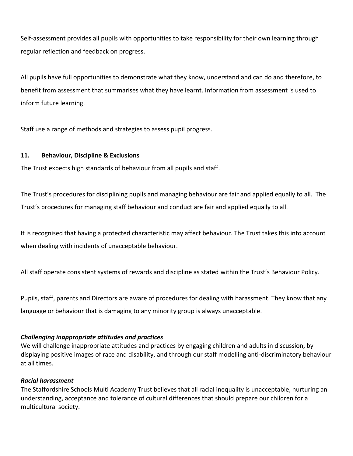Self-assessment provides all pupils with opportunities to take responsibility for their own learning through regular reflection and feedback on progress.

All pupils have full opportunities to demonstrate what they know, understand and can do and therefore, to benefit from assessment that summarises what they have learnt. Information from assessment is used to inform future learning.

Staff use a range of methods and strategies to assess pupil progress.

## **11. Behaviour, Discipline & Exclusions**

The Trust expects high standards of behaviour from all pupils and staff.

The Trust's procedures for disciplining pupils and managing behaviour are fair and applied equally to all. The Trust's procedures for managing staff behaviour and conduct are fair and applied equally to all.

It is recognised that having a protected characteristic may affect behaviour. The Trust takes this into account when dealing with incidents of unacceptable behaviour.

All staff operate consistent systems of rewards and discipline as stated within the Trust's Behaviour Policy.

Pupils, staff, parents and Directors are aware of procedures for dealing with harassment. They know that any language or behaviour that is damaging to any minority group is always unacceptable.

## *Challenging inappropriate attitudes and practices*

We will challenge inappropriate attitudes and practices by engaging children and adults in discussion, by displaying positive images of race and disability, and through our staff modelling anti-discriminatory behaviour at all times.

#### *Racial harassment*

The Staffordshire Schools Multi Academy Trust believes that all racial inequality is unacceptable, nurturing an understanding, acceptance and tolerance of cultural differences that should prepare our children for a multicultural society.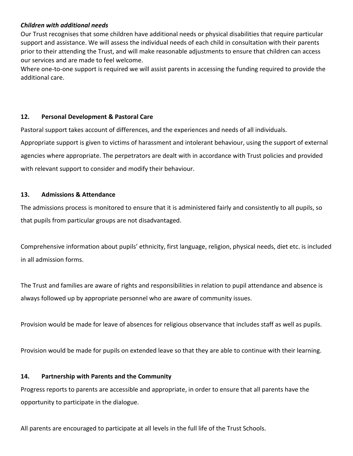#### *Children with additional needs*

Our Trust recognises that some children have additional needs or physical disabilities that require particular support and assistance. We will assess the individual needs of each child in consultation with their parents prior to their attending the Trust, and will make reasonable adjustments to ensure that children can access our services and are made to feel welcome.

Where one-to-one support is required we will assist parents in accessing the funding required to provide the additional care.

#### **12. Personal Development & Pastoral Care**

Pastoral support takes account of differences, and the experiences and needs of all individuals.

Appropriate support is given to victims of harassment and intolerant behaviour, using the support of external agencies where appropriate. The perpetrators are dealt with in accordance with Trust policies and provided with relevant support to consider and modify their behaviour.

#### **13. Admissions & Attendance**

The admissions process is monitored to ensure that it is administered fairly and consistently to all pupils, so that pupils from particular groups are not disadvantaged.

Comprehensive information about pupils' ethnicity, first language, religion, physical needs, diet etc. is included in all admission forms.

The Trust and families are aware of rights and responsibilities in relation to pupil attendance and absence is always followed up by appropriate personnel who are aware of community issues.

Provision would be made for leave of absences for religious observance that includes staff as well as pupils.

Provision would be made for pupils on extended leave so that they are able to continue with their learning.

#### **14. Partnership with Parents and the Community**

Progress reports to parents are accessible and appropriate, in order to ensure that all parents have the opportunity to participate in the dialogue.

All parents are encouraged to participate at all levels in the full life of the Trust Schools.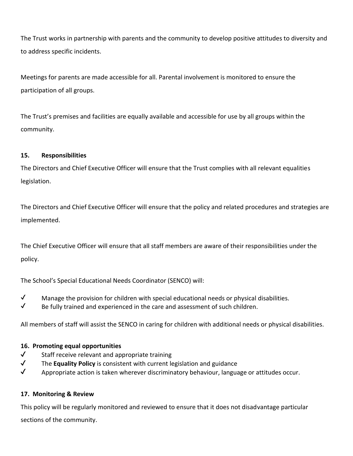The Trust works in partnership with parents and the community to develop positive attitudes to diversity and to address specific incidents.

Meetings for parents are made accessible for all. Parental involvement is monitored to ensure the participation of all groups.

The Trust's premises and facilities are equally available and accessible for use by all groups within the community.

## **15. Responsibilities**

The Directors and Chief Executive Officer will ensure that the Trust complies with all relevant equalities legislation.

The Directors and Chief Executive Officer will ensure that the policy and related procedures and strategies are implemented.

The Chief Executive Officer will ensure that all staff members are aware of their responsibilities under the policy.

The School's Special Educational Needs Coordinator (SENCO) will:

- $\checkmark$  Manage the provision for children with special educational needs or physical disabilities.
- $\checkmark$  Be fully trained and experienced in the care and assessment of such children.

All members of staff will assist the SENCO in caring for children with additional needs or physical disabilities.

## **16. Promoting equal opportunities**

- $\checkmark$  Staff receive relevant and appropriate training
- ✔ The **Equality Policy** is consistent with current legislation and guidance
- $\checkmark$  Appropriate action is taken wherever discriminatory behaviour, language or attitudes occur.

# **17. Monitoring & Review**

This policy will be regularly monitored and reviewed to ensure that it does not disadvantage particular sections of the community.